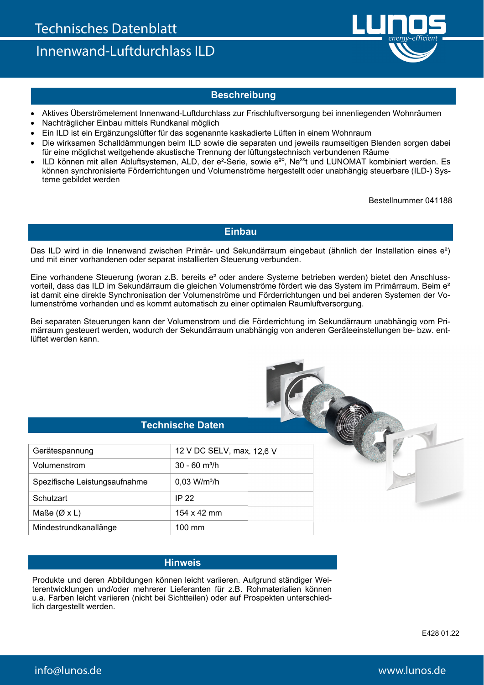Innenwand-Luftdurchlass ILD



## **Beschreibung**

- Aktives Überströmelement Innenwand-Luftdurchlass zur Frischluftversorgung bei innenliegenden Wohnräumen
- Nachträglicher Einbau mittels Rundkanal möglich
- Ein ILD ist ein Ergänzungslüfter für das sogenannte kaskadierte Lüften in einem Wohnraum
- Die wirksamen Schalldämmungen beim ILD sowie die separaten und jeweils raumseitigen Blenden sorgen dabei für eine möglichst weitgehende akustische Trennung der lüftungstechnisch verbundenen Räume
- ILD können mit allen Abluftsystemen, ALD, der e<sup>2</sup>-Serie, sowie e<sup>go</sup>, Ne<sup>xx</sup>t und LUNOMAT kombiniert werden. Es können synchronisierte Förderrichtungen und Volumenströme hergestellt oder unabhängig steuerbare (ILD-) Systeme gebildet werden

Bestellnummer 041188

### **Einbau**

Das ILD wird in die Innenwand zwischen Primär- und Sekundärraum eingebaut (ähnlich der Installation eines e²) und mit einer vorhandenen oder separat installierten Steuerung verbunden.

Eine vorhandene Steuerung (woran z.B. bereits e² oder andere Systeme betrieben werden) bietet den Anschlussvorteil, dass das ILD im Sekundärraum die gleichen Volumenströme fördert wie das System im Primärraum. Beim e<sup>2</sup> ist damit eine direkte Synchronisation der Volumenströme und Förderrichtungen und bei anderen Systemen der Volumenströme vorhanden und es kommt automatisch zu einer optimalen Raumluftversorgung.

Bei separaten Steuerungen kann der Volumenstrom und die Förderrichtung im Sekundärraum unabhängig vom Primärraum gesteuert werden, wodurch der Sekundärraum unabhängig von anderen Geräteeinstellungen be- bzw. entlüftet werden kann.

### **Technische Daten**

| Gerätespannung                | 12 V DC SELV, max. 12,6 V   |
|-------------------------------|-----------------------------|
| Volumenstrom                  | $30 - 60$ m <sup>3</sup> /h |
| Spezifische Leistungsaufnahme | $0,03$ W/m <sup>3</sup> /h  |
| Schutzart                     | IP 22                       |
| Maße ( $\varnothing$ x L)     | 154 x 42 mm                 |
| Mindestrundkanallänge         | 100 mm                      |

### **Hinweis**

Produkte und deren Abbildungen können leicht variieren. Aufgrund ständiger Weiterentwicklungen und/oder mehrerer Lieferanten für z.B. Rohmaterialien können u.a. Farben leicht variieren (nicht bei Sichtteilen) oder auf Prospekten unterschiedlich dargestellt werden.

E428 01.22